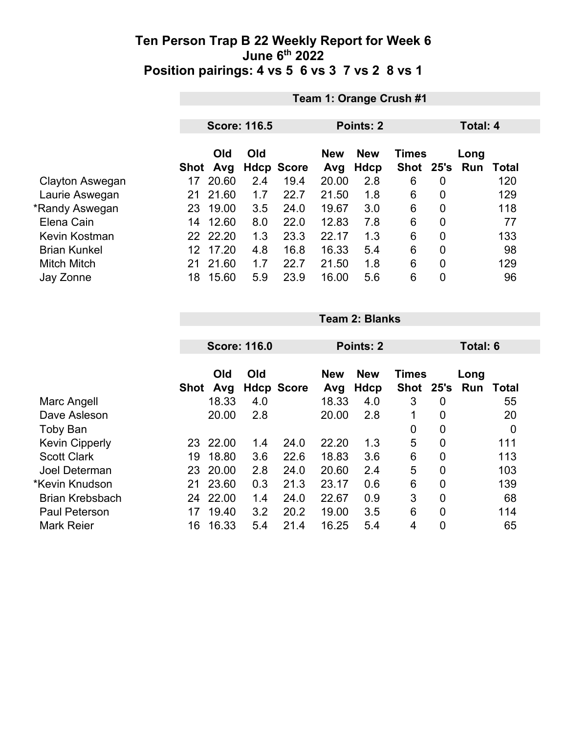|                     |      | Team 1: Orange Crush #1 |     |                   |       |            |              |                |      |       |  |
|---------------------|------|-------------------------|-----|-------------------|-------|------------|--------------|----------------|------|-------|--|
|                     |      |                         |     |                   |       |            |              |                |      |       |  |
|                     |      | <b>Score: 116.5</b>     |     |                   |       | Points: 2  |              | Total: 4       |      |       |  |
|                     |      | Old<br>Old              |     |                   |       | <b>New</b> | <b>Times</b> |                | Long |       |  |
|                     | Shot | Avg                     |     | <b>Hdcp Score</b> | Avg   | Hdcp       | Shot 25's    |                | Run  | Total |  |
| Clayton Aswegan     | 17   | 20.60                   | 2.4 | 19.4              | 20.00 | 2.8        | 6            | 0              |      | 120   |  |
| Laurie Aswegan      | 21   | 21.60                   | 1.7 | 22.7              | 21.50 | 1.8        | 6            | $\overline{0}$ |      | 129   |  |
| *Randy Aswegan      | 23   | 19.00                   | 3.5 | 24.0              | 19.67 | 3.0        | 6            | 0              |      | 118   |  |
| Elena Cain          | 14   | 12.60                   | 8.0 | 22.0              | 12.83 | 7.8        | 6            | 0              |      | 77    |  |
| Kevin Kostman       |      | 22 22.20                | 1.3 | 23.3              | 22.17 | 1.3        | 6            | $\overline{0}$ |      | 133   |  |
| <b>Brian Kunkel</b> | 12   | 17.20                   | 4.8 | 16.8              | 16.33 | 5.4        | 6            | $\overline{0}$ |      | 98    |  |
| <b>Mitch Mitch</b>  | 21   | 21.60                   | 1.7 | 22.7              | 21.50 | 1.8        | 6            | $\overline{0}$ |      | 129   |  |
| Jay Zonne           | 18   | 15.60                   | 5.9 | 23.9              | 16.00 | 5.6        | 6            | $\overline{0}$ |      | 96    |  |

|                        |      | <b>Score: 116.0</b> |     |                   |            | Points: 2   |                      |      | Total: 6 |              |
|------------------------|------|---------------------|-----|-------------------|------------|-------------|----------------------|------|----------|--------------|
|                        |      | Old<br>Old          |     |                   | <b>New</b> | <b>New</b>  | <b>Times</b><br>Long |      |          |              |
|                        | Shot | Avg                 |     | <b>Hdcp Score</b> | Avg        | <b>Hdcp</b> | <b>Shot</b>          | 25's | Run      | <b>Total</b> |
| Marc Angell            |      | 18.33               | 4.0 |                   | 18.33      | 4.0         | 3                    | 0    |          | 55           |
| Dave Asleson           |      | 20.00               | 2.8 |                   | 20.00      | 2.8         | 1                    | 0    |          | 20           |
| Toby Ban               |      |                     |     |                   |            |             | 0                    | 0    |          | $\mathbf 0$  |
| <b>Kevin Cipperly</b>  | 23   | 22.00               | 1.4 | 24.0              | 22.20      | 1.3         | 5                    | 0    |          | 111          |
| <b>Scott Clark</b>     | 19   | 18.80               | 3.6 | 22.6              | 18.83      | 3.6         | 6                    | 0    |          | 113          |
| Joel Determan          | 23   | 20.00               | 2.8 | 24.0              | 20.60      | 2.4         | 5                    | 0    |          | 103          |
| *Kevin Knudson         | 21   | 23.60               | 0.3 | 21.3              | 23.17      | 0.6         | 6                    | 0    |          | 139          |
| <b>Brian Krebsbach</b> | 24   | 22.00               | 1.4 | 24.0              | 22.67      | 0.9         | 3                    | 0    |          | 68           |
| <b>Paul Peterson</b>   | 17   | 19.40               | 3.2 | 20.2              | 19.00      | 3.5         | 6                    | 0    |          | 114          |
| <b>Mark Reier</b>      | 16   | 16.33               | 5.4 | 21.4              | 16.25      | 5.4         | 4                    | 0    |          | 65           |

**Team 2: Blanks**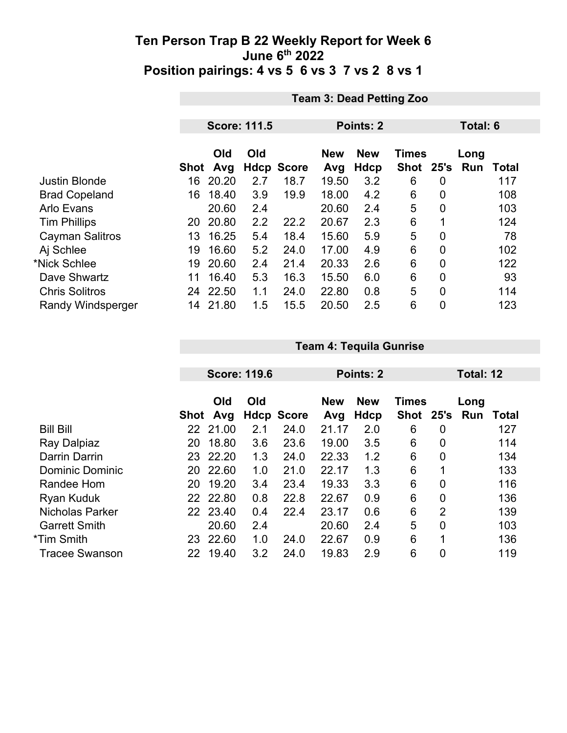|                          |      | <b>Team 3: Dead Petting Zoo</b> |                     |                   |                   |                    |                             |                  |                    |              |  |
|--------------------------|------|---------------------------------|---------------------|-------------------|-------------------|--------------------|-----------------------------|------------------|--------------------|--------------|--|
|                          |      |                                 |                     |                   |                   |                    |                             |                  |                    |              |  |
|                          |      |                                 | <b>Score: 111.5</b> |                   | Points: 2         |                    |                             |                  | Total: 6           |              |  |
|                          | Shot | Old<br>Avg                      | Old                 | <b>Hdcp Score</b> | <b>New</b><br>Avg | <b>New</b><br>Hdcp | <b>Times</b><br><b>Shot</b> | 25's             | Long<br><b>Run</b> | <b>Total</b> |  |
| <b>Justin Blonde</b>     | 16   | 20.20                           | 2.7                 | 18.7              | 19.50             | 3.2                | 6                           | $\boldsymbol{0}$ |                    | 117          |  |
| <b>Brad Copeland</b>     | 16   | 18.40                           | 3.9                 | 19.9              | 18.00             | 4.2                | 6                           | $\overline{0}$   |                    | 108          |  |
| <b>Arlo Evans</b>        |      | 20.60                           | 2.4                 |                   | 20.60             | 2.4                | 5                           | $\overline{0}$   |                    | 103          |  |
| <b>Tim Phillips</b>      | 20   | 20.80                           | 2.2                 | 22.2              | 20.67             | 2.3                | 6                           |                  |                    | 124          |  |
| <b>Cayman Salitros</b>   | 13   | 16.25                           | 5.4                 | 18.4              | 15.60             | 5.9                | 5                           | $\overline{0}$   |                    | 78           |  |
| Aj Schlee                | 19   | 16.60                           | 5.2                 | 24.0              | 17.00             | 4.9                | 6                           | $\overline{0}$   |                    | 102          |  |
| *Nick Schlee             | 19   | 20.60                           | 2.4                 | 21.4              | 20.33             | 2.6                | 6                           | $\mathbf 0$      |                    | 122          |  |
| Dave Shwartz             | 11   | 16.40                           | 5.3                 | 16.3              | 15.50             | 6.0                | 6                           | $\overline{0}$   |                    | 93           |  |
| <b>Chris Solitros</b>    | 24   | 22.50                           | 1.1                 | 24.0              | 22.80             | 0.8                | 5                           | $\overline{0}$   |                    | 114          |  |
| <b>Randy Windsperger</b> | 14   | 21.80                           | 1.5                 | 15.5              | 20.50             | 2.5                | 6                           | $\mathbf 0$      |                    | 123          |  |

|                        |                 |          | <b>Score: 119.6</b> |                   |            | <b>Points: 2</b> |              |                | Total: 12 |       |
|------------------------|-----------------|----------|---------------------|-------------------|------------|------------------|--------------|----------------|-----------|-------|
|                        |                 |          |                     |                   |            |                  |              |                |           |       |
|                        |                 | Old      | Old                 |                   | <b>New</b> | <b>New</b>       | <b>Times</b> |                | Long      |       |
|                        | <b>Shot</b>     | Avg      |                     | <b>Hdcp Score</b> | Avg        | Hdcp             | <b>Shot</b>  | 25's           | Run       | Total |
| <b>Bill Bill</b>       | 22              | 21.00    | 2.1                 | 24.0              | 21.17      | 2.0              | 6            | 0              |           | 127   |
| Ray Dalpiaz            | 20              | 18.80    | 3.6                 | 23.6              | 19.00      | 3.5              | 6            | 0              |           | 114   |
| Darrin Darrin          | 23              | 22.20    | 1.3                 | 24.0              | 22.33      | 1.2              | 6            | 0              |           | 134   |
| <b>Dominic Dominic</b> | 20              | 22.60    | 1.0                 | 21.0              | 22.17      | 1.3              | 6            | 1              |           | 133   |
| Randee Hom             | 20              | 19.20    | 3.4                 | 23.4              | 19.33      | 3.3              | 6            | $\overline{0}$ |           | 116   |
| <b>Ryan Kuduk</b>      |                 | 22 22.80 | 0.8                 | 22.8              | 22.67      | 0.9              | 6            | $\overline{0}$ |           | 136   |
| <b>Nicholas Parker</b> | 22 <sub>2</sub> | 23.40    | 0.4                 | 22.4              | 23.17      | 0.6              | 6            | $\overline{2}$ |           | 139   |
| <b>Garrett Smith</b>   |                 | 20.60    | 2.4                 |                   | 20.60      | 2.4              | 5            | $\overline{0}$ |           | 103   |
| *Tim Smith             | 23              | 22.60    | 1.0                 | 24.0              | 22.67      | 0.9              | 6            | 1              |           | 136   |
| <b>Tracee Swanson</b>  | 22              | 19.40    | 3.2                 | 24.0              | 19.83      | 2.9              | 6            | $\overline{0}$ |           | 119   |

**Team 4: Tequila Gunrise**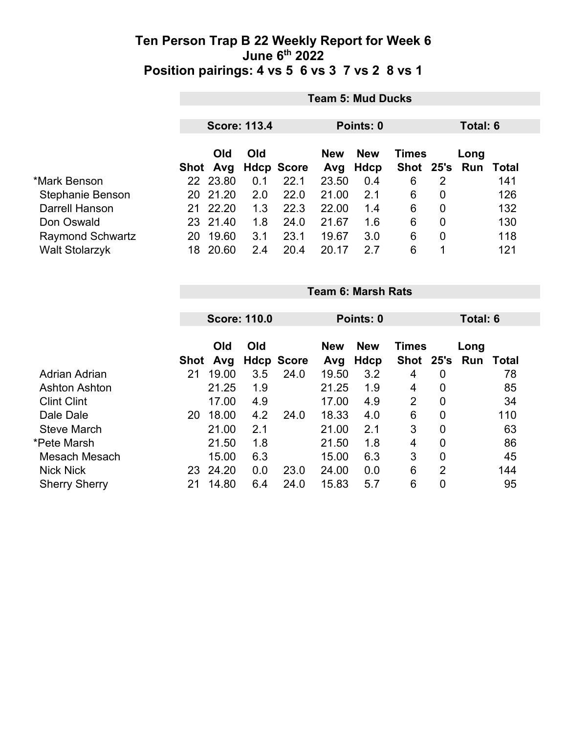|                         | <b>Team 5: Mud Ducks</b> |                      |     |                           |              |                    |          |                |                     |     |  |
|-------------------------|--------------------------|----------------------|-----|---------------------------|--------------|--------------------|----------|----------------|---------------------|-----|--|
|                         | <b>Score: 113.4</b>      |                      |     |                           |              | Points: 0          | Total: 6 |                |                     |     |  |
|                         |                          | <b>Old</b>           | Old |                           | <b>New</b>   | <b>New</b>         | Times    |                | Long                |     |  |
| *Mark Benson            |                          | Shot Avg<br>22 23.80 | 0.1 | <b>Hdcp Score</b><br>22.1 | Avg<br>23.50 | <b>Hdcp</b><br>0.4 | 6        | 2              | Shot 25's Run Total | 141 |  |
| <b>Stephanie Benson</b> |                          | 20 21.20             | 2.0 | 22.0                      | 21.00        | 2.1                | 6        | 0              |                     | 126 |  |
| Darrell Hanson          | 21                       | 22.20                | 1.3 | 22.3                      | 22.00        | 1.4                | 6        | 0              |                     | 132 |  |
| Don Oswald              |                          | 23 21.40             | 1.8 | 24.0                      | 21.67        | 1.6                | 6        | $\overline{0}$ |                     | 130 |  |
| <b>Raymond Schwartz</b> | 20                       | 19.60                | 3.1 | 23.1                      | 19.67        | 3.0                | 6        | 0              |                     | 118 |  |
| <b>Walt Stolarzyk</b>   | 18                       | 20.60                | 2.4 | 20.4                      | 20.17        | 2.7                | 6        | 1              |                     | 121 |  |

|                      | <b>Team 6: Marsh Rats</b> |       |     |                                          |       |      |                |                  |     |       |  |
|----------------------|---------------------------|-------|-----|------------------------------------------|-------|------|----------------|------------------|-----|-------|--|
|                      |                           |       |     |                                          |       |      |                |                  |     |       |  |
|                      | <b>Score: 110.0</b>       |       |     | Points: 0                                |       |      | Total: 6       |                  |     |       |  |
|                      | Old<br>Old                |       |     | <b>New</b><br><b>New</b><br><b>Times</b> |       |      |                | Long             |     |       |  |
|                      | <b>Shot</b>               | Avg   |     | <b>Hdcp Score</b>                        | Avg   | Hdcp | <b>Shot</b>    | 25's             | Run | Total |  |
| Adrian Adrian        | 21                        | 19.00 | 3.5 | 24.0                                     | 19.50 | 3.2  | 4              | 0                |     | 78    |  |
| <b>Ashton Ashton</b> |                           | 21.25 | 1.9 |                                          | 21.25 | 1.9  | 4              | $\mathbf 0$      |     | 85    |  |
| <b>Clint Clint</b>   |                           | 17.00 | 4.9 |                                          | 17.00 | 4.9  | $\overline{2}$ | $\overline{0}$   |     | 34    |  |
| Dale Dale            | 20                        | 18.00 | 4.2 | 24.0                                     | 18.33 | 4.0  | 6              | $\mathbf 0$      |     | 110   |  |
| <b>Steve March</b>   |                           | 21.00 | 2.1 |                                          | 21.00 | 2.1  | 3              | $\overline{0}$   |     | 63    |  |
| *Pete Marsh          |                           | 21.50 | 1.8 |                                          | 21.50 | 1.8  | 4              | $\mathbf 0$      |     | 86    |  |
| Mesach Mesach        |                           | 15.00 | 6.3 |                                          | 15.00 | 6.3  | 3              | $\overline{0}$   |     | 45    |  |
| <b>Nick Nick</b>     | 23                        | 24.20 | 0.0 | 23.0                                     | 24.00 | 0.0  | 6              | $\overline{2}$   |     | 144   |  |
| <b>Sherry Sherry</b> | 21                        | 14.80 | 6.4 | 24.0                                     | 15.83 | 5.7  | 6              | $\boldsymbol{0}$ |     | 95    |  |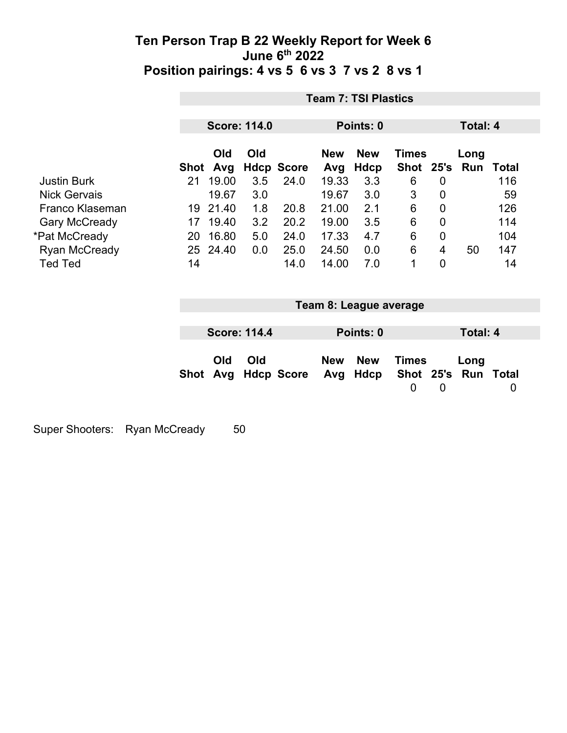|                      |      | <b>Team 7: TSI Plastics</b> |                     |                   |                   |                           |                                |                |                             |              |  |
|----------------------|------|-----------------------------|---------------------|-------------------|-------------------|---------------------------|--------------------------------|----------------|-----------------------------|--------------|--|
|                      |      |                             | <b>Score: 114.0</b> |                   | Points: 0         |                           |                                |                | Total: 4                    |              |  |
|                      | Shot | Old<br>Avg                  | Old                 | <b>Hdcp Score</b> | <b>New</b><br>Avg | <b>New</b><br><b>Hdcp</b> | <b>Times</b><br>Shot 25's      |                | Long<br><b>Run</b>          | <b>Total</b> |  |
| <b>Justin Burk</b>   | 21   | 19.00                       | 3.5                 | 24.0              | 19.33             | 3.3                       | 6                              | 0              |                             | 116          |  |
| <b>Nick Gervais</b>  |      | 19.67                       | 3.0                 |                   | 19.67             | 3.0                       | 3                              | $\mathbf 0$    |                             | 59           |  |
| Franco Klaseman      | 19   | 21.40                       | 1.8                 | 20.8              | 21.00             | 2.1                       | 6                              | $\mathbf 0$    |                             | 126          |  |
| <b>Gary McCready</b> | 17   | 19.40                       | 3.2                 | 20.2              | 19.00             | 3.5                       | $6\phantom{1}6$                | $\mathbf 0$    |                             | 114          |  |
| *Pat McCready        | 20   | 16.80                       | 5.0                 | 24.0              | 17.33             | 4.7                       | 6                              | 0              |                             | 104          |  |
| <b>Ryan McCready</b> |      | 25 24.40                    | 0.0                 | 25.0              | 24.50             | 0.0                       | 6                              | $\overline{4}$ | 50                          | 147          |  |
| <b>Ted Ted</b>       | 14   |                             |                     | 14.0              | 14.00             | 7.0                       | 1                              | $\mathbf 0$    |                             | 14           |  |
|                      |      |                             |                     |                   |                   | Team 8: League average    |                                |                |                             |              |  |
|                      |      |                             |                     |                   |                   |                           |                                |                |                             |              |  |
|                      |      |                             | <b>Score: 114.4</b> |                   |                   | Points: 0                 |                                |                | <b>Total: 4</b>             |              |  |
|                      | Shot | Old<br>Avg                  | Old                 | <b>Hdcp Score</b> | <b>New</b><br>Avg | <b>New</b><br>Hdcp        | <b>Times</b><br>$\overline{0}$ | $\mathbf 0$    | Long<br>Shot 25's Run Total | 0            |  |

Super Shooters: Ryan McCready 50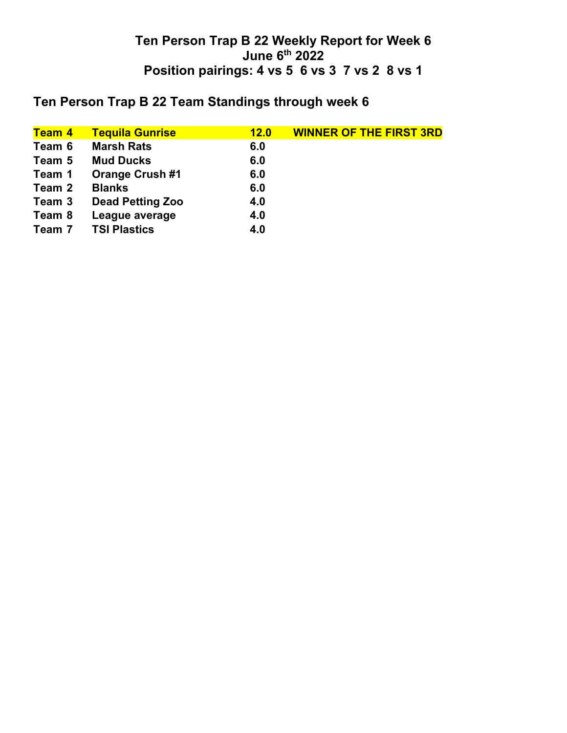## **Ten Person Trap B 22 Team Standings through week 6**

| <b>Team 4</b> | <b>Tequila Gunrise</b>  | 12.0 | <b>WINNER OF THE FIRST 3RD</b> |
|---------------|-------------------------|------|--------------------------------|
| Team 6        | <b>Marsh Rats</b>       | 6.0  |                                |
| Team 5        | <b>Mud Ducks</b>        | 6.0  |                                |
| Team 1        | <b>Orange Crush #1</b>  | 6.0  |                                |
| Team 2        | <b>Blanks</b>           | 6.0  |                                |
| Team 3        | <b>Dead Petting Zoo</b> | 4.0  |                                |
| Team 8        | League average          | 4.0  |                                |
| Team 7        | <b>TSI Plastics</b>     | 4.0  |                                |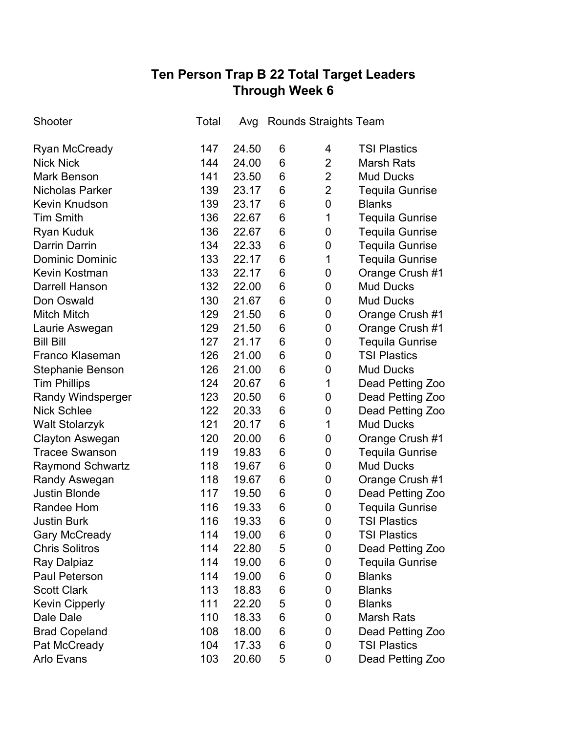# **Ten Person Trap B 22 Total Target Leaders Through Week 6**

| Shooter                  | Total | Avg   |   | Rounds Straights Team |                        |
|--------------------------|-------|-------|---|-----------------------|------------------------|
| Ryan McCready            | 147   | 24.50 | 6 | 4                     | <b>TSI Plastics</b>    |
| <b>Nick Nick</b>         | 144   | 24.00 | 6 | $\overline{2}$        | <b>Marsh Rats</b>      |
| <b>Mark Benson</b>       | 141   | 23.50 | 6 | $\overline{2}$        | <b>Mud Ducks</b>       |
| <b>Nicholas Parker</b>   | 139   | 23.17 | 6 | $\overline{2}$        | <b>Tequila Gunrise</b> |
| <b>Kevin Knudson</b>     | 139   | 23.17 | 6 | 0                     | <b>Blanks</b>          |
| <b>Tim Smith</b>         | 136   | 22.67 | 6 | 1                     | <b>Tequila Gunrise</b> |
| <b>Ryan Kuduk</b>        | 136   | 22.67 | 6 | 0                     | <b>Tequila Gunrise</b> |
| <b>Darrin Darrin</b>     | 134   | 22.33 | 6 | 0                     | <b>Tequila Gunrise</b> |
| <b>Dominic Dominic</b>   | 133   | 22.17 | 6 | 1                     | <b>Tequila Gunrise</b> |
| <b>Kevin Kostman</b>     | 133   | 22.17 | 6 | 0                     | Orange Crush #1        |
| <b>Darrell Hanson</b>    | 132   | 22.00 | 6 | 0                     | <b>Mud Ducks</b>       |
| Don Oswald               | 130   | 21.67 | 6 | $\mathbf 0$           | <b>Mud Ducks</b>       |
| <b>Mitch Mitch</b>       | 129   | 21.50 | 6 | 0                     | Orange Crush #1        |
| Laurie Aswegan           | 129   | 21.50 | 6 | $\overline{0}$        | Orange Crush #1        |
| <b>Bill Bill</b>         | 127   | 21.17 | 6 | 0                     | <b>Tequila Gunrise</b> |
| <b>Franco Klaseman</b>   | 126   | 21.00 | 6 | 0                     | <b>TSI Plastics</b>    |
| Stephanie Benson         | 126   | 21.00 | 6 | 0                     | <b>Mud Ducks</b>       |
| <b>Tim Phillips</b>      | 124   | 20.67 | 6 | 1                     | Dead Petting Zoo       |
| <b>Randy Windsperger</b> | 123   | 20.50 | 6 | 0                     | Dead Petting Zoo       |
| <b>Nick Schlee</b>       | 122   | 20.33 | 6 | 0                     | Dead Petting Zoo       |
| <b>Walt Stolarzyk</b>    | 121   | 20.17 | 6 | 1                     | <b>Mud Ducks</b>       |
| <b>Clayton Aswegan</b>   | 120   | 20.00 | 6 | 0                     | Orange Crush #1        |
| <b>Tracee Swanson</b>    | 119   | 19.83 | 6 | 0                     | <b>Tequila Gunrise</b> |
| <b>Raymond Schwartz</b>  | 118   | 19.67 | 6 | 0                     | <b>Mud Ducks</b>       |
| Randy Aswegan            | 118   | 19.67 | 6 | 0                     | Orange Crush #1        |
| <b>Justin Blonde</b>     | 117   | 19.50 | 6 | 0                     | Dead Petting Zoo       |
| Randee Hom               | 116   | 19.33 | 6 | 0                     | <b>Tequila Gunrise</b> |
| <b>Justin Burk</b>       | 116   | 19.33 | 6 | 0                     | <b>TSI Plastics</b>    |
| <b>Gary McCready</b>     | 114   | 19.00 | 6 | 0                     | <b>TSI Plastics</b>    |
| <b>Chris Solitros</b>    | 114   | 22.80 | 5 | 0                     | Dead Petting Zoo       |
| Ray Dalpiaz              | 114   | 19.00 | 6 | 0                     | <b>Tequila Gunrise</b> |
| <b>Paul Peterson</b>     | 114   | 19.00 | 6 | 0                     | <b>Blanks</b>          |
| <b>Scott Clark</b>       | 113   | 18.83 | 6 | 0                     | <b>Blanks</b>          |
| <b>Kevin Cipperly</b>    | 111   | 22.20 | 5 | 0                     | <b>Blanks</b>          |
| Dale Dale                | 110   | 18.33 | 6 | 0                     | <b>Marsh Rats</b>      |
| <b>Brad Copeland</b>     | 108   | 18.00 | 6 | 0                     | Dead Petting Zoo       |
| Pat McCready             | 104   | 17.33 | 6 | 0                     | <b>TSI Plastics</b>    |
| Arlo Evans               | 103   | 20.60 | 5 | 0                     | Dead Petting Zoo       |